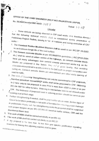OFFICE OF THE CHIEF ENGINEER (NH) P.W.D. RAJASTHAN JAIPUR No. SE/NH/Circular/2007-08/D- $|\Im$ 

Dated  $1 - 1 - 0$ 

## Circular

Some defects are being observed in CRF road works. It is therefore directed that the following technical aspects shall be considered during preparation of

- Preliminary Project Reports, issuing techni all sanctions and during execution of CRI-1. The Crumbed Rubber Modified Bitumen shall be used as per IRC:SP: 53-2002,
- 
- 2. The Cement concrete blocks as per IRC/MoSRTH guidelines (IRC:SP:63-2004 etc.) shall be used on urban section of the highways, as cement concrete blocks have got many advantages over cement concrete pavement works e.g. as the blocks are prepared in the factory they are of givou quality, thus avoiding difficulties encountered in quality control in the field such as proper compaction and curing etc. Cement concrete blocks are skid-resistant and allow early opening of road for traffic.
- 3. The work of Widening/ Strenghthening can only be considered in CRF proposals, therefore periodical renewal/IRQP works shall not be proposed in CRF. Widening to 2 lane; only to be proposed in case PCU is more than 6000 in plain or as per IRC 64-1997 for other terrains. Widening to intermediate lane is not allowed under ↓ CRF. The thickness of proposed crust in widening portion should be same as per

4. Further strengthening if needed, shall be proposed for whole wigth. Bottom layer of Gravel to be taken preferably in full width of formation for ensuring proper drainage in problematic clayey soil, For Strenghtening works the proposal shall be supported with proper designs as per IRC-37/ IRC-81 based on traffic census, CBR and the Benkleman Beam test.

- 
- 5. The work of WBM shall be carried out strictly as per IRC-19. 6. The work of BM shall be carried out strictly as per IRC-27.

7. If the proposal is for less than 10 Km then give specific justification regarding re asons for leaving the adjoining reaches shall be given. **D.\CRF\N** ew CRF\Circulars\Circulars.dec